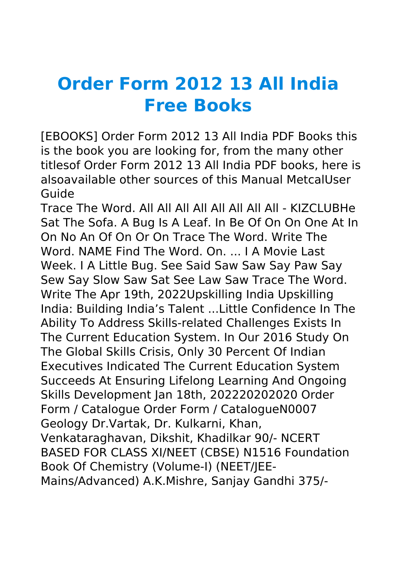**Order Form 2012 13 All India Free Books**

[EBOOKS] Order Form 2012 13 All India PDF Books this is the book you are looking for, from the many other titlesof Order Form 2012 13 All India PDF books, here is alsoavailable other sources of this Manual MetcalUser Guide

Trace The Word. All All All All All All All All - KIZCLUBHe Sat The Sofa. A Bug Is A Leaf. In Be Of On On One At In On No An Of On Or On Trace The Word. Write The Word. NAME Find The Word. On. ... I A Movie Last Week. I A Little Bug. See Said Saw Saw Say Paw Say Sew Say Slow Saw Sat See Law Saw Trace The Word. Write The Apr 19th, 2022Upskilling India Upskilling India: Building India's Talent ...Little Confidence In The Ability To Address Skills-related Challenges Exists In The Current Education System. In Our 2016 Study On The Global Skills Crisis, Only 30 Percent Of Indian Executives Indicated The Current Education System Succeeds At Ensuring Lifelong Learning And Ongoing Skills Development Jan 18th, 202220202020 Order Form / Catalogue Order Form / CatalogueN0007 Geology Dr.Vartak, Dr. Kulkarni, Khan, Venkataraghavan, Dikshit, Khadilkar 90/- NCERT BASED FOR CLASS XI/NEET (CBSE) N1516 Foundation Book Of Chemistry (Volume-I) (NEET/JEE-Mains/Advanced) A.K.Mishre, Sanjay Gandhi 375/-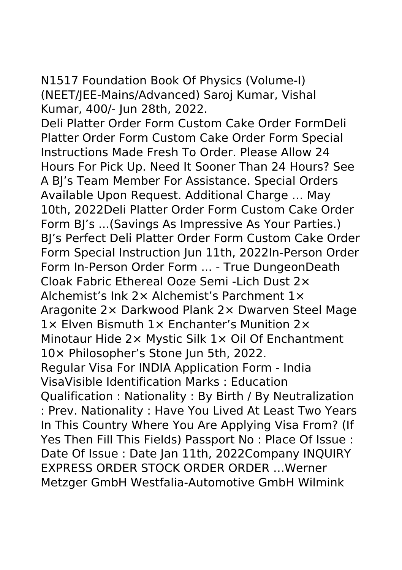N1517 Foundation Book Of Physics (Volume-I) (NEET/JEE-Mains/Advanced) Saroj Kumar, Vishal Kumar, 400/- Jun 28th, 2022.

Deli Platter Order Form Custom Cake Order FormDeli Platter Order Form Custom Cake Order Form Special Instructions Made Fresh To Order. Please Allow 24 Hours For Pick Up. Need It Sooner Than 24 Hours? See A BJ's Team Member For Assistance. Special Orders Available Upon Request. Additional Charge … May 10th, 2022Deli Platter Order Form Custom Cake Order Form BJ's ...(Savings As Impressive As Your Parties.) BJ's Perfect Deli Platter Order Form Custom Cake Order Form Special Instruction Jun 11th, 2022In-Person Order Form In-Person Order Form ... - True DungeonDeath Cloak Fabric Ethereal Ooze Semi -Lich Dust 2× Alchemist's Ink 2× Alchemist's Parchment 1× Aragonite 2× Darkwood Plank 2× Dwarven Steel Mage 1× Elven Bismuth 1× Enchanter's Munition 2× Minotaur Hide 2× Mystic Silk 1× Oil Of Enchantment 10× Philosopher's Stone Jun 5th, 2022. Regular Visa For INDIA Application Form - India VisaVisible Identification Marks : Education Qualification : Nationality : By Birth / By Neutralization : Prev. Nationality : Have You Lived At Least Two Years In This Country Where You Are Applying Visa From? (If Yes Then Fill This Fields) Passport No : Place Of Issue : Date Of Issue: Date Jan 11th, 2022Company INQUIRY EXPRESS ORDER STOCK ORDER ORDER …Werner Metzger GmbH Westfalia-Automotive GmbH Wilmink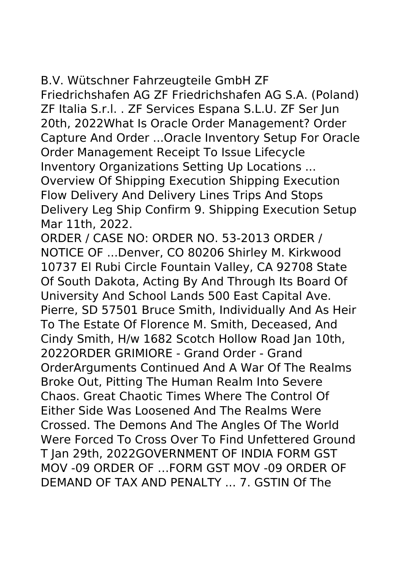B.V. Wütschner Fahrzeugteile GmbH ZF Friedrichshafen AG ZF Friedrichshafen AG S.A. (Poland) ZF Italia S.r.l. . ZF Services Espana S.L.U. ZF Ser Jun 20th, 2022What Is Oracle Order Management? Order Capture And Order ...Oracle Inventory Setup For Oracle Order Management Receipt To Issue Lifecycle Inventory Organizations Setting Up Locations ... Overview Of Shipping Execution Shipping Execution Flow Delivery And Delivery Lines Trips And Stops Delivery Leg Ship Confirm 9. Shipping Execution Setup Mar 11th, 2022.

ORDER / CASE NO: ORDER NO. 53-2013 ORDER / NOTICE OF ...Denver, CO 80206 Shirley M. Kirkwood 10737 El Rubi Circle Fountain Valley, CA 92708 State Of South Dakota, Acting By And Through Its Board Of University And School Lands 500 East Capital Ave. Pierre, SD 57501 Bruce Smith, Individually And As Heir To The Estate Of Florence M. Smith, Deceased, And Cindy Smith, H/w 1682 Scotch Hollow Road Jan 10th, 2022ORDER GRIMIORE - Grand Order - Grand OrderArguments Continued And A War Of The Realms Broke Out, Pitting The Human Realm Into Severe Chaos. Great Chaotic Times Where The Control Of Either Side Was Loosened And The Realms Were Crossed. The Demons And The Angles Of The World Were Forced To Cross Over To Find Unfettered Ground T Jan 29th, 2022GOVERNMENT OF INDIA FORM GST MOV -09 ORDER OF …FORM GST MOV -09 ORDER OF DEMAND OF TAX AND PENALTY ... 7. GSTIN Of The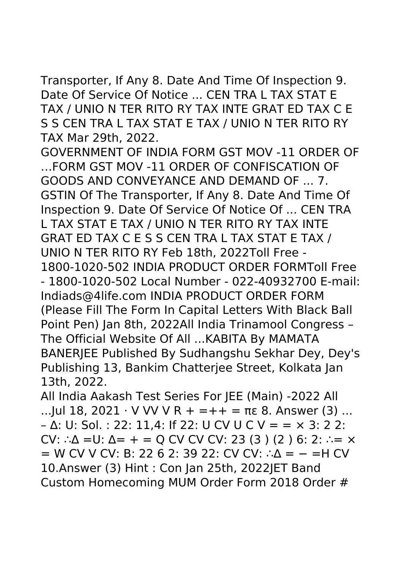Transporter, If Any 8. Date And Time Of Inspection 9. Date Of Service Of Notice ... CEN TRA L TAX STAT E TAX / UNIO N TER RITO RY TAX INTE GRAT ED TAX C E S S CEN TRA L TAX STAT E TAX / UNIO N TER RITO RY TAX Mar 29th, 2022.

GOVERNMENT OF INDIA FORM GST MOV -11 ORDER OF …FORM GST MOV -11 ORDER OF CONFISCATION OF GOODS AND CONVEYANCE AND DEMAND OF ... 7. GSTIN Of The Transporter, If Any 8. Date And Time Of Inspection 9. Date Of Service Of Notice Of ... CEN TRA L TAX STAT E TAX / UNIO N TER RITO RY TAX INTE GRAT ED TAX C E S S CEN TRA L TAX STAT E TAX / UNIO N TER RITO RY Feb 18th, 2022Toll Free - 1800-1020-502 INDIA PRODUCT ORDER FORMToll Free - 1800-1020-502 Local Number - 022-40932700 E-mail: Indiads@4life.com INDIA PRODUCT ORDER FORM (Please Fill The Form In Capital Letters With Black Ball Point Pen) Jan 8th, 2022All India Trinamool Congress – The Official Website Of All ...KABITA By MAMATA BANERJEE Published By Sudhangshu Sekhar Dey, Dey's Publishing 13, Bankim Chatterjee Street, Kolkata Jan 13th, 2022.

All India Aakash Test Series For JEE (Main) -2022 All ...|ul 18, 2021 · V VV V R + =++ = πε 8. Answer (3) ... – ∆: U: Sol. : 22: 11,4: If 22: U CV U C V = = × 3: 2 2: CV: ∴ $\Delta$  =U:  $\Delta$  = + = Q CV CV CV: 23 (3) (2) 6: 2: ∴= × = W CV V CV: B: 22 6 2: 39 22: CV CV: ∴∆ = − =H CV 10.Answer (3) Hint : Con Jan 25th, 2022JET Band Custom Homecoming MUM Order Form 2018 Order #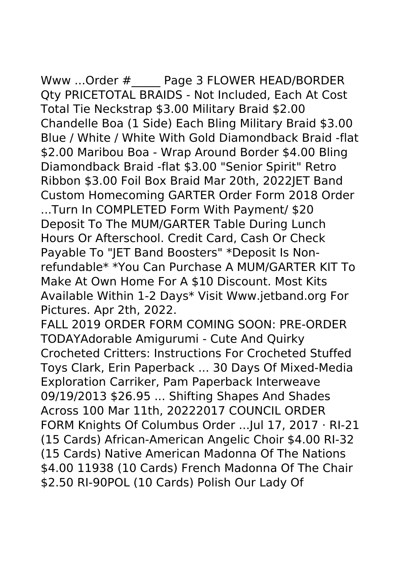Www ...Order # Page 3 FLOWER HEAD/BORDER Qty PRICETOTAL BRAIDS - Not Included, Each At Cost Total Tie Neckstrap \$3.00 Military Braid \$2.00 Chandelle Boa (1 Side) Each Bling Military Braid \$3.00 Blue / White / White With Gold Diamondback Braid -flat \$2.00 Maribou Boa - Wrap Around Border \$4.00 Bling Diamondback Braid -flat \$3.00 "Senior Spirit" Retro Ribbon \$3.00 Foil Box Braid Mar 20th, 2022JET Band Custom Homecoming GARTER Order Form 2018 Order ...Turn In COMPLETED Form With Payment/ \$20 Deposit To The MUM/GARTER Table During Lunch Hours Or Afterschool. Credit Card, Cash Or Check Payable To "JET Band Boosters" \*Deposit Is Nonrefundable\* \*You Can Purchase A MUM/GARTER KIT To Make At Own Home For A \$10 Discount. Most Kits Available Within 1-2 Days\* Visit Www.jetband.org For Pictures. Apr 2th, 2022.

FALL 2019 ORDER FORM COMING SOON: PRE-ORDER TODAYAdorable Amigurumi - Cute And Quirky Crocheted Critters: Instructions For Crocheted Stuffed Toys Clark, Erin Paperback ... 30 Days Of Mixed-Media Exploration Carriker, Pam Paperback Interweave 09/19/2013 \$26.95 ... Shifting Shapes And Shades Across 100 Mar 11th, 20222017 COUNCIL ORDER FORM Knights Of Columbus Order ...Jul 17, 2017 · RI-21 (15 Cards) African-American Angelic Choir \$4.00 RI-32 (15 Cards) Native American Madonna Of The Nations \$4.00 11938 (10 Cards) French Madonna Of The Chair \$2.50 RI-90POL (10 Cards) Polish Our Lady Of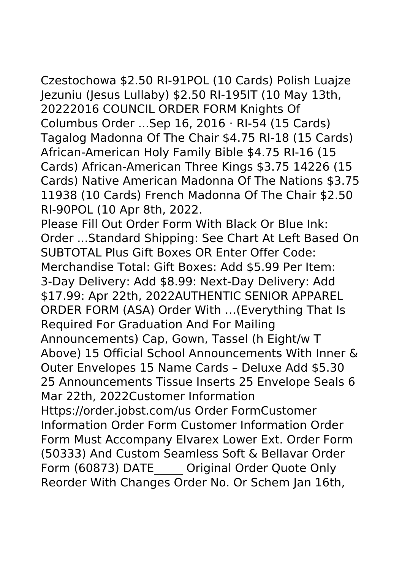Czestochowa \$2.50 RI-91POL (10 Cards) Polish Luajze Jezuniu (Jesus Lullaby) \$2.50 RI-195IT (10 May 13th, 20222016 COUNCIL ORDER FORM Knights Of Columbus Order ...Sep 16, 2016 · RI-54 (15 Cards) Tagalog Madonna Of The Chair \$4.75 RI-18 (15 Cards) African-American Holy Family Bible \$4.75 RI-16 (15 Cards) African-American Three Kings \$3.75 14226 (15 Cards) Native American Madonna Of The Nations \$3.75 11938 (10 Cards) French Madonna Of The Chair \$2.50 RI-90POL (10 Apr 8th, 2022.

Please Fill Out Order Form With Black Or Blue Ink: Order ...Standard Shipping: See Chart At Left Based On SUBTOTAL Plus Gift Boxes OR Enter Offer Code: Merchandise Total: Gift Boxes: Add \$5.99 Per Item: 3-Day Delivery: Add \$8.99: Next-Day Delivery: Add \$17.99: Apr 22th, 2022AUTHENTIC SENIOR APPAREL ORDER FORM (ASA) Order With …(Everything That Is Required For Graduation And For Mailing Announcements) Cap, Gown, Tassel (h Eight/w T Above) 15 Official School Announcements With Inner & Outer Envelopes 15 Name Cards – Deluxe Add \$5.30 25 Announcements Tissue Inserts 25 Envelope Seals 6 Mar 22th, 2022Customer Information Https://order.jobst.com/us Order FormCustomer Information Order Form Customer Information Order Form Must Accompany Elvarex Lower Ext. Order Form (50333) And Custom Seamless Soft & Bellavar Order Form (60873) DATE\_\_\_\_\_ Original Order Quote Only Reorder With Changes Order No. Or Schem Jan 16th,